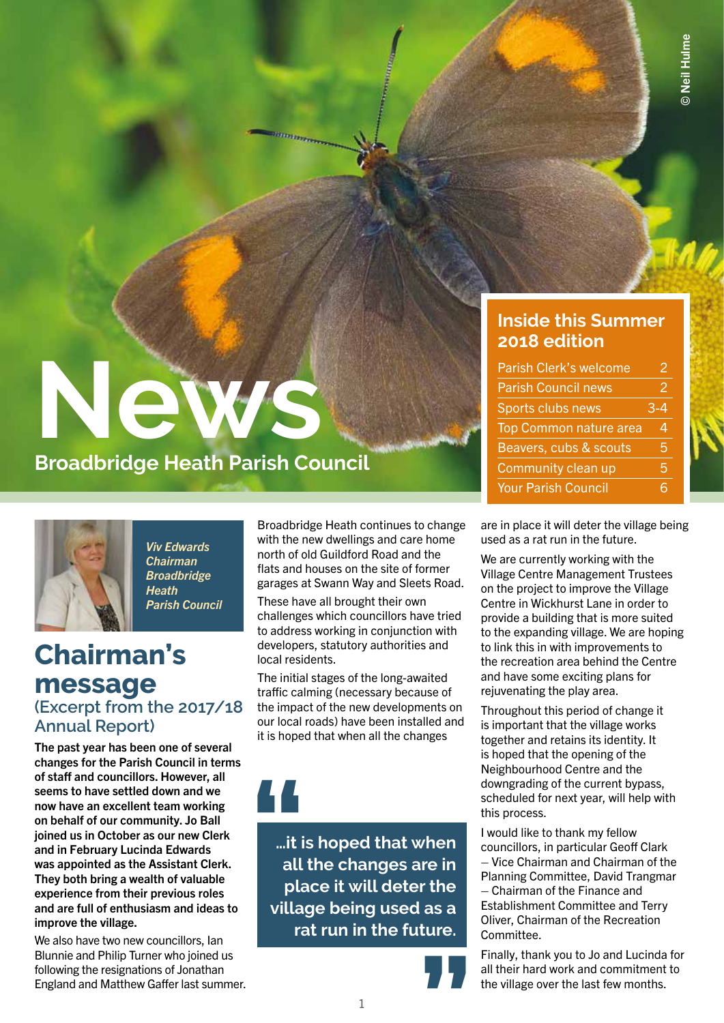# **News**

### **Broadbridge Heath Parish Council**



*Viv Edwards Chairman Broadbridge Heath Parish Council*

### **Chairman's message (Excerpt from the 2017/18 Annual Report)**

The past year has been one of several changes for the Parish Council in terms of staff and councillors. However, all seems to have settled down and we now have an excellent team working on behalf of our community. Jo Ball joined us in October as our new Clerk and in February Lucinda Edwards was appointed as the Assistant Clerk. They both bring a wealth of valuable experience from their previous roles and are full of enthusiasm and ideas to improve the village.

We also have two new councillors, Ian Blunnie and Philip Turner who joined us following the resignations of Jonathan England and Matthew Gaffer last summer. Broadbridge Heath continues to change with the new dwellings and care home north of old Guildford Road and the flats and houses on the site of former garages at Swann Way and Sleets Road.

These have all brought their own challenges which councillors have tried to address working in conjunction with developers, statutory authorities and local residents.

The initial stages of the long-awaited traffic calming (necessary because of the impact of the new developments on our local roads) have been installed and it is hoped that when all the changes

**…it is hoped that when all the changes are in place it will deter the village being used as a rat run in the future.** |<br>| it i<br>| all<br>| pla



#### **Inside this Summer 2018 edition**

| <b>Parish Clerk's welcome</b> | 2   |
|-------------------------------|-----|
| <b>Parish Council news</b>    | 2   |
| Sports clubs news             | 3-4 |
| <b>Top Common nature area</b> | 4   |
| Beavers, cubs & scouts        | 5   |
| Community clean up            | 5   |
| <b>Your Parish Council</b>    | հ   |

are in place it will deter the village being used as a rat run in the future.

We are currently working with the Village Centre Management Trustees on the project to improve the Village Centre in Wickhurst Lane in order to provide a building that is more suited to the expanding village. We are hoping to link this in with improvements to the recreation area behind the Centre and have some exciting plans for rejuvenating the play area.

Throughout this period of change it is important that the village works together and retains its identity. It is hoped that the opening of the Neighbourhood Centre and the downgrading of the current bypass, scheduled for next year, will help with this process.

I would like to thank my fellow councillors, in particular Geoff Clark – Vice Chairman and Chairman of the Planning Committee, David Trangmar – Chairman of the Finance and Establishment Committee and Terry Oliver, Chairman of the Recreation Committee.

Finally, thank you to Jo and Lucinda for all their hard work and commitment to the village over the last few months.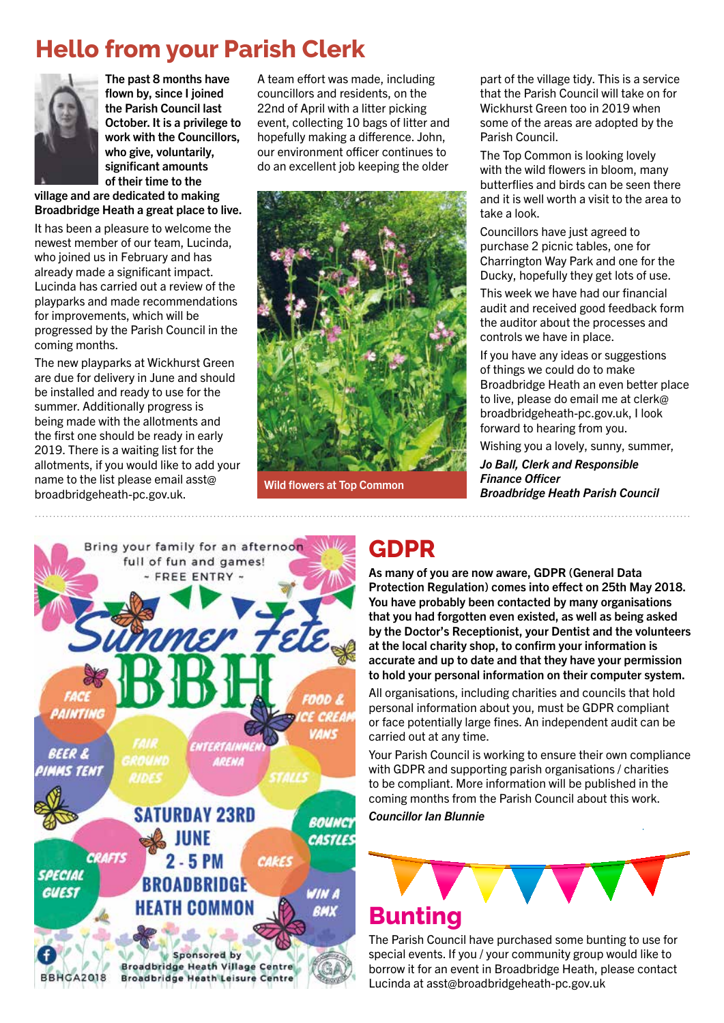### **Hello from your Parish Clerk**



The past 8 months have flown by, since I joined the Parish Council last October. It is a privilege to work with the Councillors, who give, voluntarily, significant amounts of their time to the

village and are dedicated to making Broadbridge Heath a great place to live.

It has been a pleasure to welcome the newest member of our team, Lucinda, who joined us in February and has already made a significant impact. Lucinda has carried out a review of the playparks and made recommendations for improvements, which will be progressed by the Parish Council in the coming months.

The new playparks at Wickhurst Green are due for delivery in June and should be installed and ready to use for the summer. Additionally progress is being made with the allotments and the first one should be ready in early 2019. There is a waiting list for the allotments, if you would like to add your name to the list please email asst@ broadbridgeheath-pc.gov.uk.

A team effort was made, including councillors and residents, on the 22nd of April with a litter picking event, collecting 10 bags of litter and hopefully making a difference. John, our environment officer continues to do an excellent job keeping the older



Wild flowers at Top Common

part of the village tidy. This is a service that the Parish Council will take on for Wickhurst Green too in 2019 when some of the areas are adopted by the Parish Council.

The Top Common is looking lovely with the wild flowers in bloom, many butterflies and birds can be seen there and it is well worth a visit to the area to take a look.

Councillors have just agreed to purchase 2 picnic tables, one for Charrington Way Park and one for the Ducky, hopefully they get lots of use.

This week we have had our financial audit and received good feedback form the auditor about the processes and controls we have in place.

If you have any ideas or suggestions of things we could do to make Broadbridge Heath an even better place to live, please do email me at clerk@ broadbridgeheath-pc.gov.uk, I look forward to hearing from you.

Wishing you a lovely, sunny, summer, *Jo Ball, Clerk and Responsible Finance Officer Broadbridge Heath Parish Council*



### **GDPR**

As many of you are now aware, GDPR (General Data Protection Regulation) comes into effect on 25th May 2018. You have probably been contacted by many organisations that you had forgotten even existed, as well as being asked by the Doctor's Receptionist, your Dentist and the volunteers at the local charity shop, to confirm your information is accurate and up to date and that they have your permission to hold your personal information on their computer system.

All organisations, including charities and councils that hold personal information about you, must be GDPR compliant or face potentially large fines. An independent audit can be carried out at any time.

Your Parish Council is working to ensure their own compliance with GDPR and supporting parish organisations / charities to be compliant. More information will be published in the coming months from the Parish Council about this work.

*Councillor Ian Blunnie*



### **Bunting**

The Parish Council have purchased some bunting to use for special events. If you / your community group would like to borrow it for an event in Broadbridge Heath, please contact Lucinda at asst@broadbridgeheath-pc.gov.uk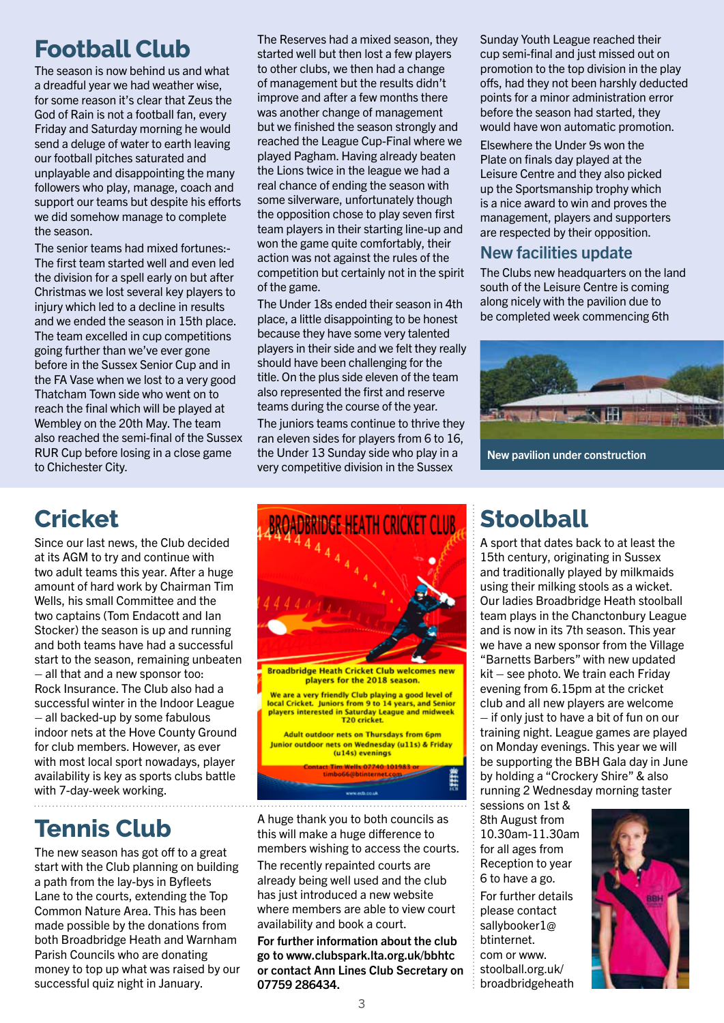### **Football Club**

The season is now behind us and what a dreadful year we had weather wise, for some reason it's clear that Zeus the God of Rain is not a football fan, every Friday and Saturday morning he would send a deluge of water to earth leaving our football pitches saturated and unplayable and disappointing the many followers who play, manage, coach and support our teams but despite his efforts we did somehow manage to complete the season.

The senior teams had mixed fortunes:- The first team started well and even led the division for a spell early on but after Christmas we lost several key players to injury which led to a decline in results and we ended the season in 15th place. The team excelled in cup competitions going further than we've ever gone before in the Sussex Senior Cup and in the FA Vase when we lost to a very good Thatcham Town side who went on to reach the final which will be played at Wembley on the 20th May. The team also reached the semi-final of the Sussex RUR Cup before losing in a close game to Chichester City.

The Reserves had a mixed season, they started well but then lost a few players to other clubs, we then had a change of management but the results didn't improve and after a few months there was another change of management but we finished the season strongly and reached the League Cup-Final where we played Pagham. Having already beaten the Lions twice in the league we had a real chance of ending the season with some silverware, unfortunately though the opposition chose to play seven first team players in their starting line-up and won the game quite comfortably, their action was not against the rules of the competition but certainly not in the spirit of the game.

The Under 18s ended their season in 4th place, a little disappointing to be honest because they have some very talented players in their side and we felt they really should have been challenging for the title. On the plus side eleven of the team also represented the first and reserve teams during the course of the year.

The juniors teams continue to thrive they ran eleven sides for players from 6 to 16, the Under 13 Sunday side who play in a very competitive division in the Sussex

Sunday Youth League reached their cup semi-final and just missed out on promotion to the top division in the play offs, had they not been harshly deducted points for a minor administration error before the season had started, they would have won automatic promotion.

Elsewhere the Under 9s won the Plate on finals day played at the Leisure Centre and they also picked up the Sportsmanship trophy which is a nice award to win and proves the management, players and supporters are respected by their opposition.

#### New facilities update

The Clubs new headquarters on the land south of the Leisure Centre is coming along nicely with the pavilion due to be completed week commencing 6th



New pavilion under construction

### **Cricket**

Since our last news, the Club decided at its AGM to try and continue with two adult teams this year. After a huge amount of hard work by Chairman Tim Wells, his small Committee and the two captains (Tom Endacott and Ian Stocker) the season is up and running and both teams have had a successful start to the season, remaining unbeaten – all that and a new sponsor too: Rock Insurance. The Club also had a successful winter in the Indoor League – all backed-up by some fabulous indoor nets at the Hove County Ground for club members. However, as ever with most local sport nowadays, player availability is key as sports clubs battle with 7-day-week working.

### **Tennis Club**

The new season has got off to a great start with the Club planning on building a path from the lay-bys in Byfleets Lane to the courts, extending the Top Common Nature Area. This has been made possible by the donations from both Broadbridge Heath and Warnham Parish Councils who are donating money to top up what was raised by our successful quiz night in January.



A huge thank you to both councils as this will make a huge difference to members wishing to access the courts. The recently repainted courts are already being well used and the club has just introduced a new website where members are able to view court availability and book a court.

For further information about the club go to www.clubspark.lta.org.uk/bbhtc or contact Ann Lines Club Secretary on 07759 286434.

### **Stoolball**

A sport that dates back to at least the 15th century, originating in Sussex and traditionally played by milkmaids using their milking stools as a wicket. Our ladies Broadbridge Heath stoolball team plays in the Chanctonbury League and is now in its 7th season. This year we have a new sponsor from the Village "Barnetts Barbers" with new updated kit – see photo. We train each Friday evening from 6.15pm at the cricket club and all new players are welcome – if only just to have a bit of fun on our training night. League games are played on Monday evenings. This year we will be supporting the BBH Gala day in June by holding a "Crockery Shire" & also running 2 Wednesday morning taster

sessions on 1st & 8th August from 10.30am-11.30am for all ages from Reception to year 6 to have a go. For further details please contact sallybooker1@ btinternet. com or www. stoolball.org.uk/ broadbridgeheath

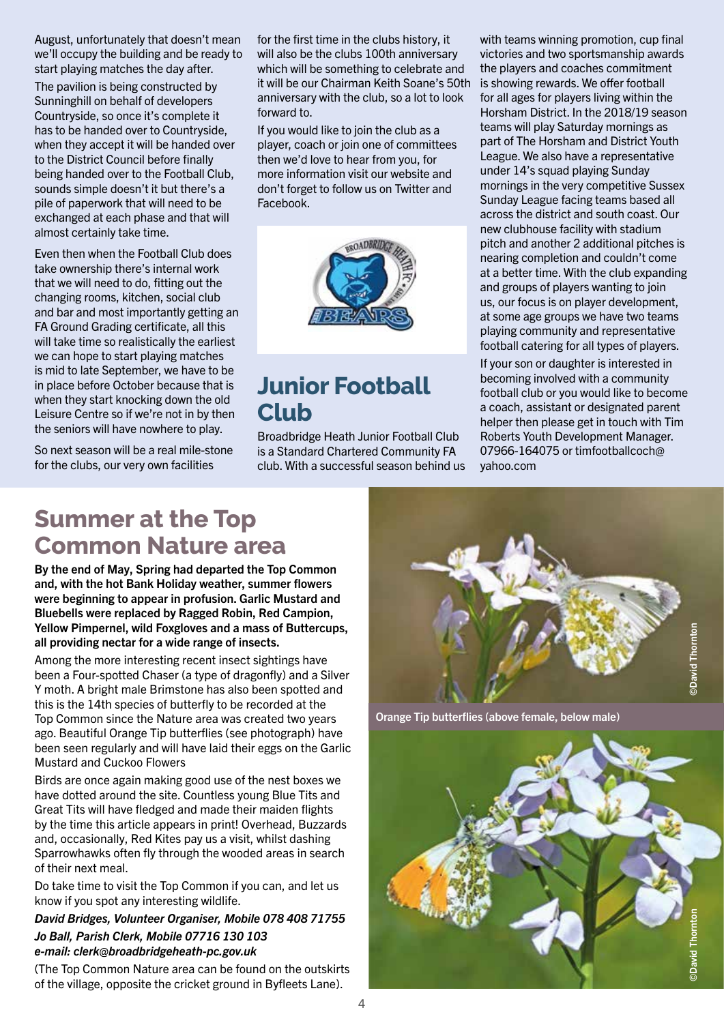August, unfortunately that doesn't mean we'll occupy the building and be ready to start playing matches the day after.

The pavilion is being constructed by Sunninghill on behalf of developers Countryside, so once it's complete it has to be handed over to Countryside, when they accept it will be handed over to the District Council before finally being handed over to the Football Club, sounds simple doesn't it but there's a pile of paperwork that will need to be exchanged at each phase and that will almost certainly take time.

Even then when the Football Club does take ownership there's internal work that we will need to do, fitting out the changing rooms, kitchen, social club and bar and most importantly getting an FA Ground Grading certificate, all this will take time so realistically the earliest we can hope to start playing matches is mid to late September, we have to be in place before October because that is when they start knocking down the old Leisure Centre so if we're not in by then the seniors will have nowhere to play.

So next season will be a real mile-stone for the clubs, our very own facilities

for the first time in the clubs history, it will also be the clubs 100th anniversary which will be something to celebrate and it will be our Chairman Keith Soane's 50th anniversary with the club, so a lot to look forward to.

If you would like to join the club as a player, coach or join one of committees then we'd love to hear from you, for more information visit our website and don't forget to follow us on Twitter and Facebook.



### **Junior Football Club**

Broadbridge Heath Junior Football Club is a Standard Chartered Community FA club. With a successful season behind us with teams winning promotion, cup final victories and two sportsmanship awards the players and coaches commitment is showing rewards. We offer football for all ages for players living within the Horsham District. In the 2018/19 season teams will play Saturday mornings as part of The Horsham and District Youth League. We also have a representative under 14's squad playing Sunday mornings in the very competitive Sussex Sunday League facing teams based all across the district and south coast. Our new clubhouse facility with stadium pitch and another 2 additional pitches is nearing completion and couldn't come at a better time. With the club expanding and groups of players wanting to join us, our focus is on player development, at some age groups we have two teams playing community and representative football catering for all types of players.

If your son or daughter is interested in becoming involved with a community football club or you would like to become a coach, assistant or designated parent helper then please get in touch with Tim Roberts Youth Development Manager. 07966-164075 or timfootballcoch@ yahoo.com

### **Summer at the Top Common Nature area**

By the end of May, Spring had departed the Top Common and, with the hot Bank Holiday weather, summer flowers were beginning to appear in profusion. Garlic Mustard and Bluebells were replaced by Ragged Robin, Red Campion, Yellow Pimpernel, wild Foxgloves and a mass of Buttercups, all providing nectar for a wide range of insects.

Among the more interesting recent insect sightings have been a Four-spotted Chaser (a type of dragonfly) and a Silver Y moth. A bright male Brimstone has also been spotted and this is the 14th species of butterfly to be recorded at the Top Common since the Nature area was created two years ago. Beautiful Orange Tip butterflies (see photograph) have been seen regularly and will have laid their eggs on the Garlic Mustard and Cuckoo Flowers

Birds are once again making good use of the nest boxes we have dotted around the site. Countless young Blue Tits and Great Tits will have fledged and made their maiden flights by the time this article appears in print! Overhead, Buzzards and, occasionally, Red Kites pay us a visit, whilst dashing Sparrowhawks often fly through the wooded areas in search of their next meal.

Do take time to visit the Top Common if you can, and let us know if you spot any interesting wildlife.

*David Bridges, Volunteer Organiser, Mobile 078 408 71755 Jo Ball, Parish Clerk, Mobile 07716 130 103 e-mail: clerk@broadbridgeheath-pc.gov.uk*

(The Top Common Nature area can be found on the outskirts of the village, opposite the cricket ground in Byfleets Lane).



Orange Tip butterflies (above female, below male)

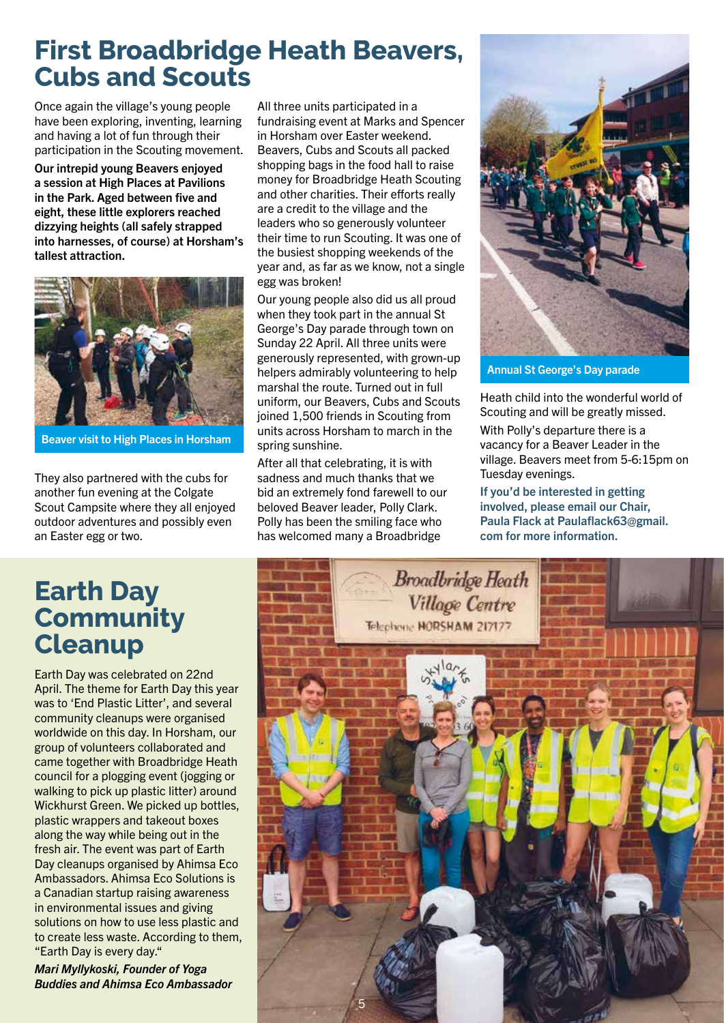### **First Broadbridge Heath Beavers, Cubs and Scouts**

Once again the village's young people have been exploring, inventing, learning and having a lot of fun through their participation in the Scouting movement.

Our intrepid young Beavers enjoyed a session at High Places at Pavilions in the Park. Aged between five and eight, these little explorers reached dizzying heights (all safely strapped into harnesses, of course) at Horsham's tallest attraction.



Beaver visit to High Places in Horsham

They also partnered with the cubs for another fun evening at the Colgate Scout Campsite where they all enjoyed outdoor adventures and possibly even an Easter egg or two.

All three units participated in a fundraising event at Marks and Spencer in Horsham over Easter weekend. Beavers, Cubs and Scouts all packed shopping bags in the food hall to raise money for Broadbridge Heath Scouting and other charities. Their efforts really are a credit to the village and the leaders who so generously volunteer their time to run Scouting. It was one of the busiest shopping weekends of the year and, as far as we know, not a single egg was broken!

Our young people also did us all proud when they took part in the annual St George's Day parade through town on Sunday 22 April. All three units were generously represented, with grown-up helpers admirably volunteering to help marshal the route. Turned out in full uniform, our Beavers, Cubs and Scouts joined 1,500 friends in Scouting from units across Horsham to march in the spring sunshine.

After all that celebrating, it is with sadness and much thanks that we bid an extremely fond farewell to our beloved Beaver leader, Polly Clark. Polly has been the smiling face who has welcomed many a Broadbridge



Annual St George's Day parade

Heath child into the wonderful world of Scouting and will be greatly missed. With Polly's departure there is a vacancy for a Beaver Leader in the village. Beavers meet from 5-6:15pm on Tuesday evenings.

If you'd be interested in getting involved, please email our Chair, Paula Flack at Paulaflack63@gmail. com for more information.

### **Earth Day Community Cleanup**

Earth Day was celebrated on 22nd April. The theme for Earth Day this year was to 'End Plastic Litter', and several community cleanups were organised worldwide on this day. In Horsham, our group of volunteers collaborated and came together with Broadbridge Heath council for a plogging event (jogging or walking to pick up plastic litter) around Wickhurst Green. We picked up bottles, plastic wrappers and takeout boxes along the way while being out in the fresh air. The event was part of Earth Day cleanups organised by Ahimsa Eco Ambassadors. Ahimsa Eco Solutions is a Canadian startup raising awareness in environmental issues and giving solutions on how to use less plastic and to create less waste. According to them, "Earth Day is every day."

*Mari Myllykoski, Founder of Yoga Buddies and Ahimsa Eco Ambassador*